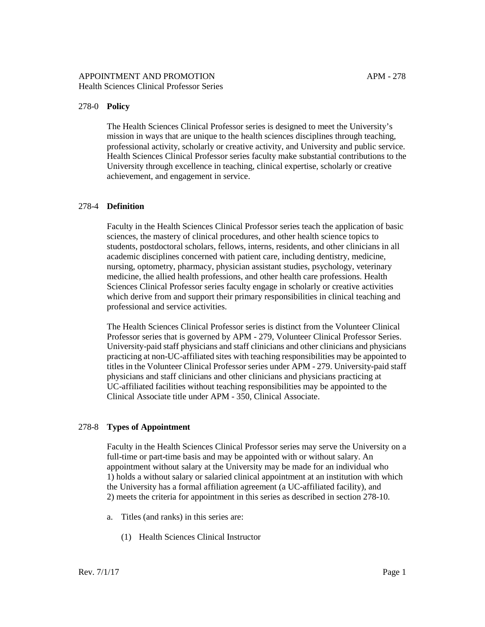## 278-0 **Policy**

The Health Sciences Clinical Professor series is designed to meet the University's mission in ways that are unique to the health sciences disciplines through teaching, professional activity, scholarly or creative activity, and University and public service. Health Sciences Clinical Professor series faculty make substantial contributions to the University through excellence in teaching, clinical expertise, scholarly or creative achievement, and engagement in service.

### 278-4 **Definition**

Faculty in the Health Sciences Clinical Professor series teach the application of basic sciences, the mastery of clinical procedures, and other health science topics to students, postdoctoral scholars, fellows, interns, residents, and other clinicians in all academic disciplines concerned with patient care, including dentistry, medicine, nursing, optometry, pharmacy, physician assistant studies, psychology, veterinary medicine, the allied health professions, and other health care professions. Health Sciences Clinical Professor series faculty engage in scholarly or creative activities which derive from and support their primary responsibilities in clinical teaching and professional and service activities.

The Health Sciences Clinical Professor series is distinct from the Volunteer Clinical Professor series that is governed by [APM -](http://www.ucop.edu/academic-personnel-programs/_files/apm/apm-279.pdf) 279, Volunteer Clinical Professor Series. University-paid staff physicians and staff clinicians and other clinicians and physicians practicing at non-UC-affiliated sites with teaching responsibilities may be appointed to titles in the Volunteer Clinical Professor series under [APM -](http://www.ucop.edu/academic-personnel-programs/_files/apm/apm-279.pdf) 279. University-paid staff physicians and staff clinicians and other clinicians and physicians practicing at UC-affiliated facilities without teaching responsibilities may be appointed to the Clinical Associate title under [APM -](http://www.ucop.edu/academic-personnel-programs/_files/apm/apm-350.pdf) 350, Clinical Associate.

## 278-8 **Types of Appointment**

Faculty in the Health Sciences Clinical Professor series may serve the University on a full-time or part-time basis and may be appointed with or without salary. An appointment without salary at the University may be made for an individual who 1) holds a without salary or salaried clinical appointment at an institution with which the University has a formal affiliation agreement (a UC-affiliated facility), and 2) meets the criteria for appointment in this series as described in section 278-10.

- a. Titles (and ranks) in this series are:
	- (1) Health Sciences Clinical Instructor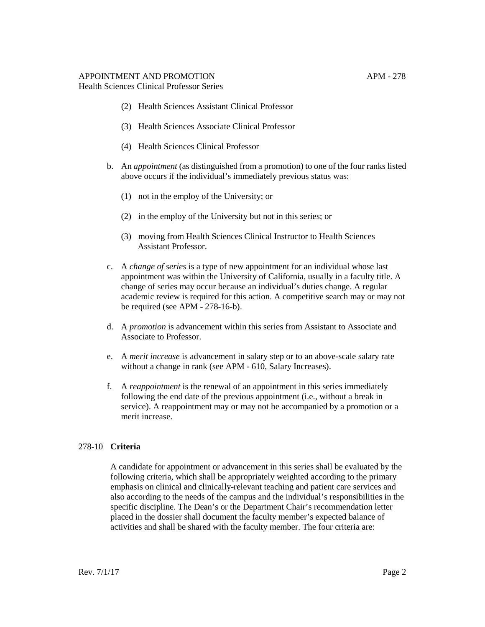# APPOINTMENT AND PROMOTION APM - 278

Health Sciences Clinical Professor Series

- (2) Health Sciences Assistant Clinical Professor
- (3) Health Sciences Associate Clinical Professor
- (4) Health Sciences Clinical Professor
- b. An *appointment* (as distinguished from a promotion) to one of the four ranks listed above occurs if the individual's immediately previous status was:
	- (1) not in the employ of the University; or
	- (2) in the employ of the University but not in this series; or
	- (3) moving from Health Sciences Clinical Instructor to Health Sciences Assistant Professor.
- c. A *change of series* is a type of new appointment for an individual whose last appointment was within the University of California, usually in a faculty title. A change of series may occur because an individual's duties change. A regular academic review is required for this action. A competitive search may or may not be required (see APM - 278-16-b).
- d. A *promotion* is advancement within this series from Assistant to Associate and Associate to Professor.
- e. A *merit increase* is advancement in salary step or to an above-scale salary rate without a change in rank (see APM - [610, Salary Increases\).](http://www.ucop.edu/academic-personnel-programs/_files/apm/apm-610.pdf)
- f. A *reappointment* is the renewal of an appointment in this series immediately following the end date of the previous appointment (i.e., without a break in service). A reappointment may or may not be accompanied by a promotion or a merit increase.

## 278-10 **Criteria**

A candidate for appointment or advancement in this series shall be evaluated by the following criteria, which shall be appropriately weighted according to the primary emphasis on clinical and clinically-relevant teaching and patient care services and also according to the needs of the campus and the individual's responsibilities in the specific discipline. The Dean's or the Department Chair's recommendation letter placed in the dossier shall document the faculty member's expected balance of activities and shall be shared with the faculty member. The four criteria are: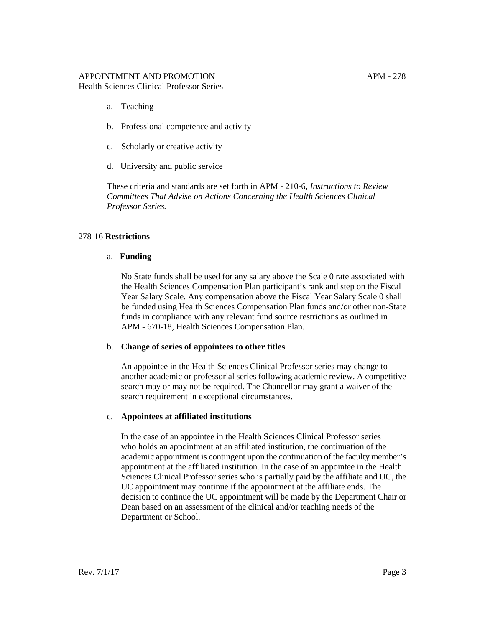- a. Teaching
- b. Professional competence and activity
- c. Scholarly or creative activity
- d. University and public service

These criteria and standards are set forth in [APM -](http://www.ucop.edu/academic-personnel-programs/_files/apm/apm-210.pdf) 210-6, *Instructions to Review Committees That Advise on Actions Concerning the Health Sciences Clinical Professor Series.*

## 278-16 **Restrictions**

### a. **Funding**

No State funds shall be used for any salary above the Scale 0 rate associated with the Health Sciences Compensation Plan participant's rank and step on the Fiscal Year Salary Scale. Any compensation above the Fiscal Year Salary Scale 0 shall be funded using Health Sciences Compensation Plan funds and/or other non-State funds in compliance with any relevant fund source restrictions as outlined in APM - [670-18, Health Sciences Compensation Plan.](http://www.ucop.edu/academic-personnel-programs/_files/apm/apm-670.pdf)

## b. **Change of series of appointees to other titles**

An appointee in the Health Sciences Clinical Professor series may change to another academic or professorial series following academic review. A competitive search may or may not be required. The Chancellor may grant a waiver of the search requirement in exceptional circumstances.

## c. **Appointees at affiliated institutions**

In the case of an appointee in the Health Sciences Clinical Professor series who holds an appointment at an affiliated institution, the continuation of the academic appointment is contingent upon the continuation of the faculty member's appointment at the affiliated institution. In the case of an appointee in the Health Sciences Clinical Professor series who is partially paid by the affiliate and UC, the UC appointment may continue if the appointment at the affiliate ends. The decision to continue the UC appointment will be made by the Department Chair or Dean based on an assessment of the clinical and/or teaching needs of the Department or School.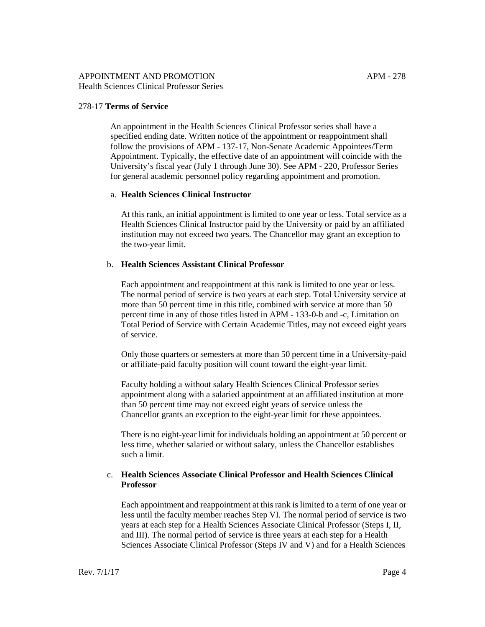### 278-17 **Terms of Service**

An appointment in the Health Sciences Clinical Professor series shall have a specified ending date. Written notice of the appointment or reappointment shall follow the provisions of APM - [137-17, Non-Senate Academic Appointees](http://www.ucop.edu/academic-personnel-programs/_files/apm/apm-137.pdf)/Term Appointment. Typically, the effective date of an appointment will coincide with the University's fiscal year (July 1 through June 30). See APM - [220, Professor Series](http://www.ucop.edu/academic-personnel-programs/_files/apm/apm-220.pdf) for general academic personnel policy regarding appointment and promotion.

#### a. **Health Sciences Clinical Instructor**

At this rank, an initial appointment is limited to one year or less. Total service as a Health Sciences Clinical Instructor paid by the University or paid by an affiliated institution may not exceed two years. The Chancellor may grant an exception to the two-year limit.

### b. **Health Sciences Assistant Clinical Professor**

Each appointment and reappointment at this rank is limited to one year or less. The normal period of service is two years at each step. Total University service at more than 50 percent time in this title, combined with service at more than 50 percent time in any of those titles listed in APM - [133-0-b](http://www.ucop.edu/academic-personnel-programs/_files/apm/apm-133.pdf) and -c, Limitation on Total Period of Service with Certain Academic Titles, may not exceed eight years of service.

Only those quarters or semesters at more than 50 percent time in a University-paid or affiliate-paid faculty position will count toward the eight-year limit.

Faculty holding a without salary Health Sciences Clinical Professor series appointment along with a salaried appointment at an affiliated institution at more than 50 percent time may not exceed eight years of service unless the Chancellor grants an exception to the eight-year limit for these appointees.

There is no eight-year limit for individuals holding an appointment at 50 percent or less time, whether salaried or without salary, unless the Chancellor establishes such a limit.

### c. **Health Sciences Associate Clinical Professor and Health Sciences Clinical Professor**

Each appointment and reappointment at this rank is limited to a term of one year or less until the faculty member reaches Step VI. The normal period of service is two years at each step for a Health Sciences Associate Clinical Professor (Steps I, II, and III). The normal period of service is three years at each step for a Health Sciences Associate Clinical Professor (Steps IV and V) and for a Health Sciences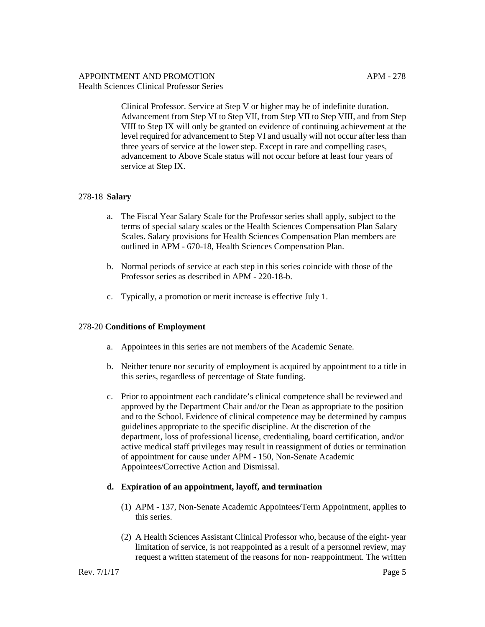Clinical Professor. Service at Step V or higher may be of indefinite duration. Advancement from Step VI to Step VII, from Step VII to Step VIII, and from Step VIII to Step IX will only be granted on evidence of continuing achievement at the level required for advancement to Step VI and usually will not occur after less than three years of service at the lower step. Except in rare and compelling cases, advancement to Above Scale status will not occur before at least four years of service at Step IX.

## 278-18 **Salary**

- a. The Fiscal Year Salary Scale for the Professor series shall apply, subject to the terms of special salary scales or the Health Sciences Compensation Plan Salary Scales. Salary provisions for Health Sciences Compensation Plan members are outlined in APM - [670-18, Health Sciences Compensation Plan.](http://www.ucop.edu/academic-personnel-programs/_files/apm/apm-670.pdf)
- b. Normal periods of service at each step in this series coincide with those of the Professor series as described in APM - [220-18-b.](http://www.ucop.edu/academic-personnel-programs/_files/apm/apm-220.pdf)
- c. Typically, a promotion or merit increase is effective July 1.

## 278-20 **Conditions of Employment**

- a. Appointees in this series are not members of the Academic Senate.
- b. Neither tenure nor security of employment is acquired by appointment to a title in this series, regardless of percentage of State funding.
- c. Prior to appointment each candidate's clinical competence shall be reviewed and approved by the Department Chair and/or the Dean as appropriate to the position and to the School. Evidence of clinical competence may be determined by campus guidelines appropriate to the specific discipline. At the discretion of the department, loss of professional license, credentialing, board certification, and/or active medical staff privileges may result in reassignment of duties or termination of appointment for cause under APM - [150, Non-Senate Academic](http://www.ucop.edu/academic-personnel-programs/_files/apm/apm-150.pdf) Appointees/Corrective Action and Dismissal.

#### **d. Expiration of an appointment, layoff, and termination**

- (1) APM [137, Non-Senate Academic Appointees/Term Appointment,](http://www.ucop.edu/academic-personnel-programs/_files/apm/apm-137.pdf) applies to this series.
- (2) A Health Sciences Assistant Clinical Professor who, because of the eight- year limitation of service, is not reappointed as a result of a personnel review, may request a written statement of the reasons for non- reappointment. The written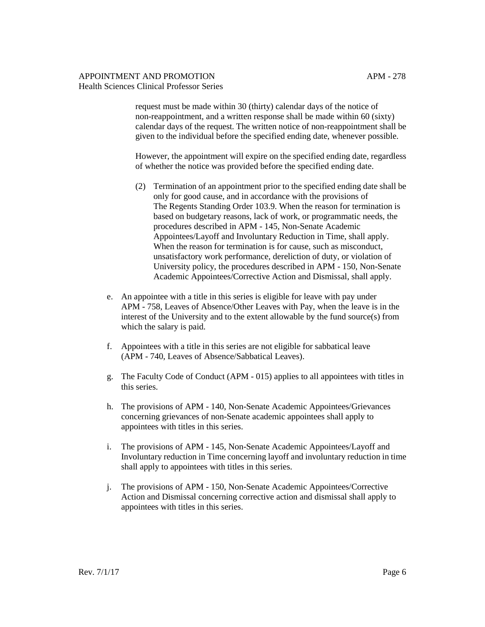request must be made within 30 (thirty) calendar days of the notice of non-reappointment, and a written response shall be made within 60 (sixty) calendar days of the request. The written notice of non-reappointment shall be given to the individual before the specified ending date, whenever possible.

However, the appointment will expire on the specified ending date, regardless of whether the notice was provided before the specified ending date.

- (2) Termination of an appointment prior to the specified ending date shall be only for good cause, and in accordance with the provisions of [The Regents Standing Order 103.9. W](http://regents.universityofcalifornia.edu/governance/standing-orders/so1039.html)hen the reason for termination is based on budgetary reasons, lack of work, or programmatic needs, the procedures described i[n APM -](http://www.ucop.edu/academic-personnel-programs/_files/apm/apm-145.pdf) 145, Non-Senate Academic Appointees/Layoff and Involuntary Reduction in Time, shall apply. When the reason for termination is for cause, such as misconduct, unsatisfactory work performance, dereliction of duty, or violation of University policy, the procedures described i[n APM -](http://www.ucop.edu/academic-personnel-programs/_files/apm/apm-150.pdf) 150, Non-Senate Academic Appointees/Corrective Action and Dismissal, shall apply.
- e. An appointee with a title in this series is eligible for leave with pay under APM - [758, Leaves of Absence/Other Leaves with Pay,](http://www.ucop.edu/academic-personnel-programs/_files/apm/apm-758.pdf) when the leave is in the interest of the University and to the extent allowable by the fund source(s) from which the salary is paid.
- f. Appointees with a title in this series are not eligible for sabbatical leave (APM - [740, Leaves of Absence/Sabbatical Leaves\).](http://www.ucop.edu/academic-personnel-programs/_files/apm/apm-740.pdf)
- g. [The Faculty Code of Conduct \(APM -](http://www.ucop.edu/academic-personnel-programs/_files/apm/apm-015.pdf) 015) applies to all appointees with titles in this series.
- h. The provisions of APM [140, Non-Senate Academic Appointees/Grievances](http://www.ucop.edu/academic-personnel-programs/_files/apm/apm-140.pdf) concerning grievances of non-Senate academic appointees shall apply to appointees with titles in this series.
- i. The provisions of APM [145, Non-Senate Academic Appointees/Layoff and](http://www.ucop.edu/academic-personnel-programs/_files/apm/apm-145.pdf) Involuntary reduction in Time concerning layoff and involuntary reduction in time shall apply to appointees with titles in this series.
- j. The provisions of APM [150, Non-Senate Academic Appointees/Corrective](http://www.ucop.edu/academic-personnel-programs/_files/apm/apm-150.pdf)  Action and Dismissal concerning corrective action and dismissal shall apply to appointees with titles in this series.